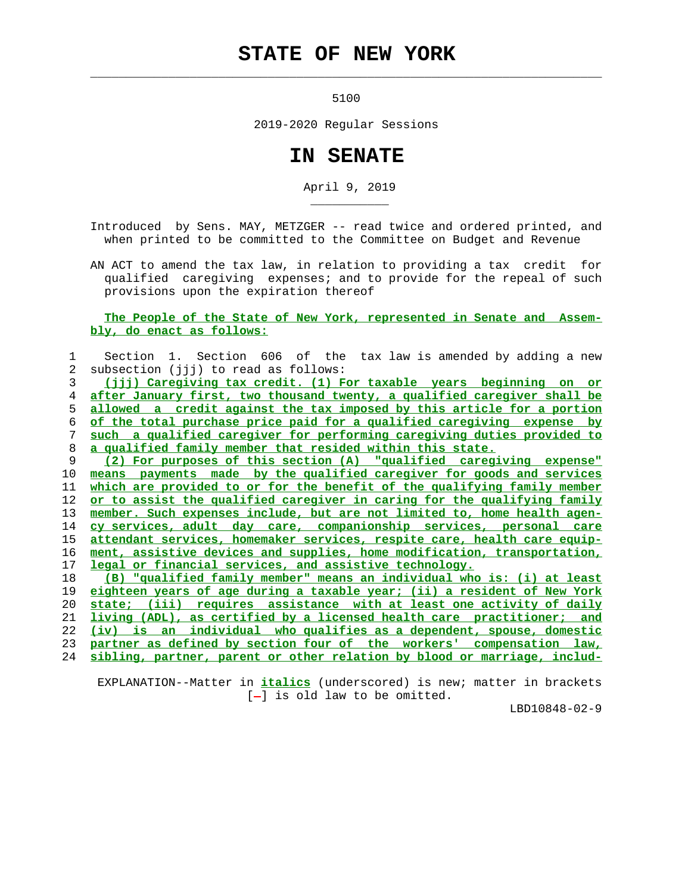## **STATE OF NEW YORK**

 $\mathcal{L}_\text{max} = \frac{1}{2} \sum_{i=1}^{n} \frac{1}{2} \sum_{i=1}^{n} \frac{1}{2} \sum_{i=1}^{n} \frac{1}{2} \sum_{i=1}^{n} \frac{1}{2} \sum_{i=1}^{n} \frac{1}{2} \sum_{i=1}^{n} \frac{1}{2} \sum_{i=1}^{n} \frac{1}{2} \sum_{i=1}^{n} \frac{1}{2} \sum_{i=1}^{n} \frac{1}{2} \sum_{i=1}^{n} \frac{1}{2} \sum_{i=1}^{n} \frac{1}{2} \sum_{i=1}^{n} \frac{1$ 

\_\_\_\_\_\_\_\_\_\_\_

5100

2019-2020 Regular Sessions

## **IN SENATE**

April 9, 2019

 Introduced by Sens. MAY, METZGER -- read twice and ordered printed, and when printed to be committed to the Committee on Budget and Revenue

 AN ACT to amend the tax law, in relation to providing a tax credit for qualified caregiving expenses; and to provide for the repeal of such provisions upon the expiration thereof

 **The People of the State of New York, represented in Senate and Assem bly, do enact as follows:**

| 1       | Section 1. Section 606 of the tax law is amended by adding a new              |
|---------|-------------------------------------------------------------------------------|
| 2       | subsection (jij) to read as follows:                                          |
| 3       | <u>(jjj) Careqiving tax credit. (1) For taxable years beginning on or</u>     |
| 4       | after January first, two thousand twenty, a qualified caregiver shall be      |
| 5       | allowed a credit against the tax imposed by this article for a portion        |
| 6       | of the total purchase price paid for a qualified caregiving expense by        |
| 7       | such a qualified caregiver for performing caregiving duties provided to       |
| 8       | a qualified family member that resided within this state.                     |
| 9       | (2) For purposes of this section (A) "qualified careqiving expense"           |
| 10      | means payments made by the qualified caregiver for goods and services         |
| 11      | which are provided to or for the benefit of the qualifying family member      |
| 12      | or to assist the qualified caregiver in caring for the qualifying family      |
| 13      | member. Such expenses include, but are not limited to, home health agen-      |
| 14      | cy services, adult day care, companionship services, personal care            |
| 15      | attendant services, homemaker services, respite care, health care equip-      |
| 16      | ment, assistive devices and supplies, home modification, transportation,      |
| $17 \,$ | legal or financial services, and assistive technology.                        |
| 18      | (B) "qualified family member" means an individual who is: (i) at least        |
| 19      | eighteen years of age during a taxable year; (ii) a resident of New York      |
| 20      | state; (iii) requires assistance with at least one activity of daily          |
| 21      | <u>living (ADL), as certified by a licensed health care practitioner; and</u> |
| 22      | (iv) is an individual who qualifies as a dependent, spouse, domestic          |
| 23      | partner as defined by section four of the workers' compensation law,          |
| 24      | sibling, partner, parent or other relation by blood or marriage, includ-      |

 EXPLANATION--Matter in **italics** (underscored) is new; matter in brackets [-] is old law to be omitted.

LBD10848-02-9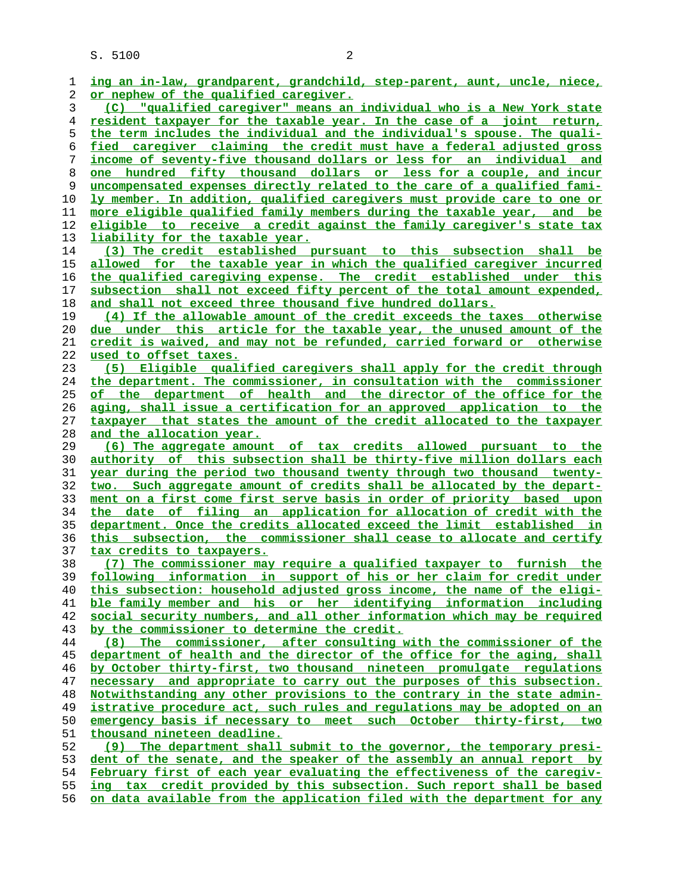S. 5100 2 **ing an in-law, grandparent, grandchild, step-parent, aunt, uncle, niece, or nephew of the qualified caregiver. (C) "qualified caregiver" means an individual who is a New York state resident taxpayer for the taxable year. In the case of a joint return, the term includes the individual and the individual's spouse. The quali- fied caregiver claiming the credit must have a federal adjusted gross income of seventy-five thousand dollars or less for an individual and one hundred fifty thousand dollars or less for a couple, and incur uncompensated expenses directly related to the care of a qualified fami- ly member. In addition, qualified caregivers must provide care to one or more eligible qualified family members during the taxable year, and be eligible to receive a credit against the family caregiver's state tax liability for the taxable year. (3) The credit established pursuant to this subsection shall be allowed for the taxable year in which the qualified caregiver incurred the qualified caregiving expense. The credit established under this subsection shall not exceed fifty percent of the total amount expended, and shall not exceed three thousand five hundred dollars. (4) If the allowable amount of the credit exceeds the taxes otherwise due under this article for the taxable year, the unused amount of the credit is waived, and may not be refunded, carried forward or otherwise used to offset taxes. (5) Eligible qualified caregivers shall apply for the credit through the department. The commissioner, in consultation with the commissioner of the department of health and the director of the office for the aging, shall issue a certification for an approved application to the taxpayer that states the amount of the credit allocated to the taxpayer and the allocation year. (6) The aggregate amount of tax credits allowed pursuant to the authority of this subsection shall be thirty-five million dollars each year during the period two thousand twenty through two thousand twenty- two. Such aggregate amount of credits shall be allocated by the depart- ment on a first come first serve basis in order of priority based upon the date of filing an application for allocation of credit with the department. Once the credits allocated exceed the limit established in this subsection, the commissioner shall cease to allocate and certify tax credits to taxpayers. (7) The commissioner may require a qualified taxpayer to furnish the following information in support of his or her claim for credit under this subsection: household adjusted gross income, the name of the eligi- ble family member and his or her identifying information including social security numbers, and all other information which may be required**

**by the commissioner to determine the credit.**

**(8) The commissioner, after consulting with the commissioner of the department of health and the director of the office for the aging, shall by October thirty-first, two thousand nineteen promulgate regulations necessary and appropriate to carry out the purposes of this subsection. Notwithstanding any other provisions to the contrary in the state admin- istrative procedure act, such rules and regulations may be adopted on an emergency basis if necessary to meet such October thirty-first, two thousand nineteen deadline. (9) The department shall submit to the governor, the temporary presi- dent of the senate, and the speaker of the assembly an annual report by February first of each year evaluating the effectiveness of the caregiv-**

**ing tax credit provided by this subsection. Such report shall be based on data available from the application filed with the department for any**